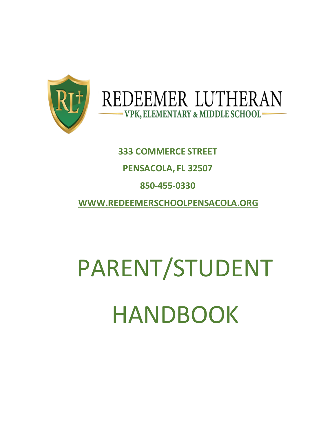

# REDEEMER LUTHERAN -VPK, ELEMENTARY & MIDDLE SCHOOL-

# **333 COMMERCE STREET PENSACOLA, FL 32507 850-455-0330 WWW.REDEEMERSCHOOLPENSACOLA.ORG**

# PARENT/STUDENT HANDBOOK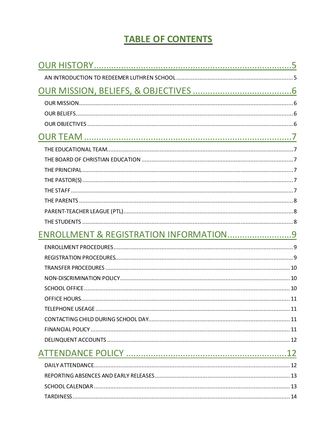### **TABLE OF CONTENTS**

| ENROLLMENT & REGISTRATION INFORMATION9 |  |
|----------------------------------------|--|
|                                        |  |
|                                        |  |
|                                        |  |
|                                        |  |
|                                        |  |
|                                        |  |
|                                        |  |
|                                        |  |
|                                        |  |
|                                        |  |
|                                        |  |
|                                        |  |
|                                        |  |
|                                        |  |
|                                        |  |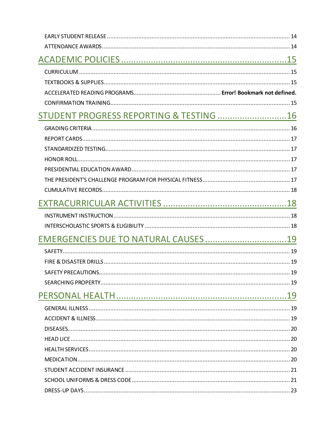| STUDENT PROGRESS REPORTING & TESTING  16 |  |
|------------------------------------------|--|
|                                          |  |
|                                          |  |
|                                          |  |
|                                          |  |
|                                          |  |
|                                          |  |
|                                          |  |
|                                          |  |
|                                          |  |
|                                          |  |
| EMERGENCIES DUE TO NATURAL CAUSES 19     |  |
|                                          |  |
|                                          |  |
|                                          |  |
|                                          |  |
|                                          |  |
|                                          |  |
|                                          |  |
|                                          |  |
|                                          |  |
|                                          |  |
|                                          |  |
|                                          |  |
|                                          |  |
|                                          |  |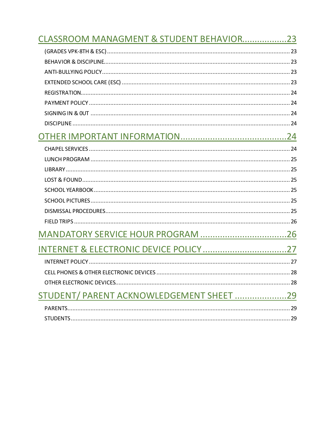| CLASSROOM MANAGMENT & STUDENT BEHAVIOR23 |  |
|------------------------------------------|--|
|                                          |  |
|                                          |  |
|                                          |  |
|                                          |  |
|                                          |  |
|                                          |  |
|                                          |  |
|                                          |  |
|                                          |  |
|                                          |  |
|                                          |  |
|                                          |  |
|                                          |  |
|                                          |  |
|                                          |  |
|                                          |  |
|                                          |  |
|                                          |  |
|                                          |  |
|                                          |  |
|                                          |  |
|                                          |  |
| STUDENT/ PARENT ACKNOWLEDGEMENT SHEET 29 |  |
|                                          |  |
|                                          |  |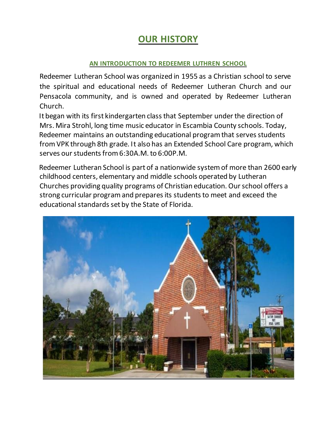### **OUR HISTORY**

### **AN INTRODUCTION TO REDEEMER LUTHREN SCHOOL**

<span id="page-4-1"></span><span id="page-4-0"></span>Redeemer Lutheran School was organized in 1955 as a Christian school to serve the spiritual and educational needs of Redeemer Lutheran Church and our Pensacola community, and is owned and operated by Redeemer Lutheran Church.

It began with its first kindergarten class that September under the direction of Mrs. Mira Strohl, long time music educator in Escambia County schools. Today, Redeemer maintains an outstanding educational program that serves students from VPK through 8th grade. It also has an Extended School Care program, which serves our students from 6:30A.M. to 6:00P.M.

Redeemer Lutheran School is part of a nationwide system of more than 2600 early childhood centers, elementary and middle schools operated by Lutheran Churches providing quality programs of Christian education. Our school offers a strong curricular program and prepares its students to meet and exceed the educational standards set by the State of Florida.

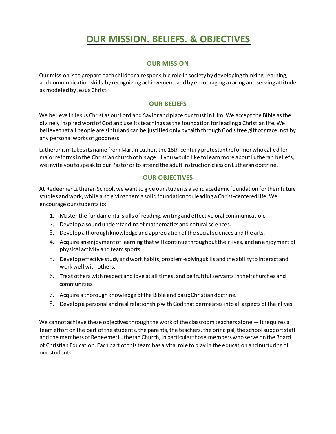### **OUR MISSION. BELIEFS. & OBJECTIVES**

### **OUR MISSION**

<span id="page-5-1"></span><span id="page-5-0"></span>Our mission is to prepare each child for a responsible role in society by developing thinking, learning, and communication skills; by recognizing achievement; and by encouraging a caring and serving attitude as modeled by Jesus Christ.

### **OUR BELIEFS**

<span id="page-5-2"></span>We believe in Jesus Christ as our Lord and Savior and place our trust in Him. We accept the Bible as the divinely inspired word of God and use its teachings as the foundation for leading a Christian life. We believe that all people are sinful and can be justified only by faith through God's free gift of grace, not by any personal works of goodness.

Lutheranism takes its name from Martin Luther, the 16th century protestant reformer who called for major reforms in the Christian church of his age. If you would like to learn more about Lutheran beliefs, we invite you to speak to our Pastor or to attend the adult instruction class on Lutheran doctrine.

### **OUR OBJECTIVES**

<span id="page-5-3"></span>At Redeemer Lutheran School, we want to give our students a solid academic foundation for their future studies and work, while also giving them a solid foundation for leading a Christ-centered life. We encourage our students to:

- 1. Master the fundamental skills of reading, writing and effective oral communication.
- 2. Develop a sound understanding of mathematics and natural sciences.
- 3. Develop a thorough knowledge and appreciation of the social sciences and the arts.
- 4. Acquire an enjoyment of learning that will continue throughout their lives, and an enjoyment of physical activity and team sports.
- 5. Develop effective study and work habits, problem-solving skills and the ability to interact and work well with others.
- 6. Treat others with respect and love at all times, and be fruitful servants in their churches and communities.
- 7. Acquire a thorough knowledge of the Bible and basic Christian doctrine.
- 8. Develop a personal and real relationship with God that permeates into all aspects of their lives.

We cannot achieve these objectives through the work of the classroom teachers alone — it requires a team effort on the part of the students, the parents, the teachers, the principal, the school support staff and the members of Redeemer Lutheran Church, in particular those members who serve on the Board of Christian Education. Each part of this team has a vital role to play in the education and nurturing of our students.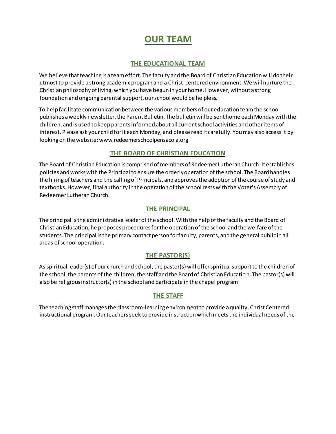### **OUR TEAM**

### **THE EDUCATIONAL TEAM**

<span id="page-6-1"></span><span id="page-6-0"></span>We believe that teaching is a team effort. The faculty and the Board of Christian Education will do their utmost to provide a strong academic program and a Christ-centered environment. We will nurture the Christian philosophy of living, which you have begun in your home. However, without a strong foundation and ongoing parental support, our school would be helpless.

To help facilitate communication between the various members of our education team the school publishes a weekly newsletter, the Parent Bulletin. The bulletin will be sent home each Monday with the children, and is used to keep parents informed about all current school activities and other items of interest. Please ask your child for it each Monday, and please read it carefully. You may also access it by looking on the website: www.redeemerschoolpensacola.org

### **THE BOARD OF CHRISTIAN EDUCATION**

<span id="page-6-2"></span>The Board of Christian Education is comprised of members of Redeemer Lutheran Church. It establishes policies and works with the Principal to ensure the orderly operation of the school. The Board handles the hiring of teachers and the calling of Principals, and approves the adoption of the course of study and textbooks. However, final authority in the operation of the school rests with the Voter's Assembly of Redeemer Lutheran Church.

### **THE PRINCIPAL**

<span id="page-6-3"></span>The principal is the administrative leader of the school. With the help of the faculty and the Board of Christian Education, he proposes procedures for the operation of the school and the welfare of the students. The principal is the primary contact person for faculty, parents, and the general public in all areas of school operation.

### **THE PASTOR(S)**

<span id="page-6-4"></span>As spiritual leader(s) of our church and school, the pastor(s) will offer spiritual support to the children of the school, the parents of the children, the staff and the Board of Christian Education. The pastor(s) will also be religious instructor(s) in the school and participate in the chapel program

#### **THE STAFF**

<span id="page-6-5"></span>The teaching staff manages the classroom-learning environment to provide a quality, Christ Centered instructional program. Our teachers seek to provide instruction which meets the individual needs of the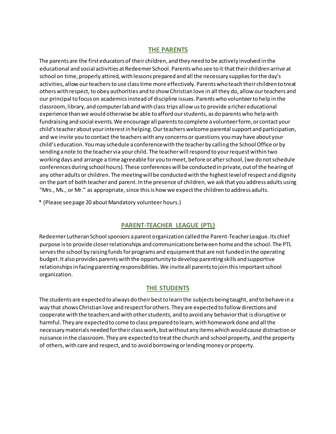### **THE PARENTS**

<span id="page-7-0"></span>The parents are the first educators of their children, and they need to be actively involved in the educational and social activities at Redeemer School. Parents who see to it that their children arrive at school on time, properly attired, with lessons prepared and all the necessary supplies for the day's activities, allow our teachers to use class time more effectively. Parents who teach their children to treat others with respect, to obey authorities and to show Christian love in all they do, allow our teachers and our principal to focus on academics instead of discipline issues. Parents who volunteer to help in the classroom, library, and computer lab and with class trips allow us to provide a richer educational experience than we would otherwise be able to afford our students, as do parents who help with fundraising and social events. We encourage all parents to complete a volunteer form, or contact your child's teacher about your interest in helping. Our teachers welcome parental support and participation, and we invite you to contact the teachers with any concerns or questions you may have about your child's education. You may schedule a conference with the teacher by calling the School Office or by sending a note to the teacher via your child. The teacher will respond to your request within two working days and arrange a time agreeable for you to meet, before or after school, (we do not schedule conferences during school hours). These conferences will be conducted in private, out of the hearing of any other adults or children. The meeting will be conducted with the highest level of respect and dignity on the part of both teacher and parent. In the presence of children, we ask that you address adults using "Mrs., Ms., or Mr." as appropriate, since this is how we expect the children to address adults.

\* (Please see page 20 about Mandatory volunteer hours.)

### **PARENT-TEACHER LEAGUE (PTL)**

<span id="page-7-1"></span>Redeemer Lutheran School sponsors a parent organization called the Parent-Teacher League. Its chief purpose is to provide closer relationships and communications between home and the school. The PTL serves the school by raising funds for programs and equipment that are not funded in the operating budget. It also provides parents with the opportunity to develop parenting skills and supportive relationships in facing parenting responsibilities. We invite all parents to join this important school organization.

#### **THE STUDENTS**

<span id="page-7-2"></span>The students are expected to always do their best to learn the subjects being taught, and to behave in a way that shows Christian love and respect for others. They are expected to follow directions and cooperate with the teachers and with other students, and to avoid any behavior that is disruptive or harmful. They are expected to come to class prepared to learn, with homework done and all the necessary materials needed for their class work, but without any items which would cause distraction or nuisance in the classroom. They are expected to treat the church and school property, and the property of others, with care and respect, and to avoid borrowing or lending money or property.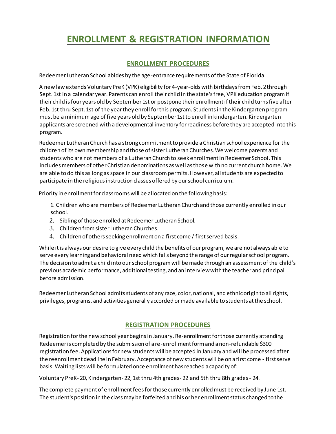### <span id="page-8-0"></span>**ENROLLMENT & REGISTRATION INFORMATION**

### **ENROLLMENT PROCEDURES**

<span id="page-8-1"></span>Redeemer Lutheran School abides by the age-entrance requirements of the State of Florida.

A new law extends Voluntary PreK (VPK) eligibility for 4-year-olds with birthdays from Feb. 2 through Sept. 1st in a calendar year. Parents can enroll their child in the state's free, VPK education program if their child is four years old by September 1st or postpone their enrollment if their child turns five after Feb. 1st thru Sept. 1st of the year they enroll for this program. Students in the Kindergarten program must be a minimum age of five years old by September 1stto enroll in kindergarten. Kindergarten applicants are screened with a developmental inventory for readiness before they are accepted into this program.

Redeemer Lutheran Church has a strong commitment to provide a Christian school experience for the children of its own membership and those of sister Lutheran Churches. We welcome parents and students who are not members of a Lutheran Church to seek enrollment in Redeemer School. This includes members of other Christian denominations as well as those with no current church home. We are able to do this as long as space in our classroom permits. However, all students are expected to participate in the religious instruction classes offered by our school curriculum.

Priority in enrollment for classrooms will be allocated on the following basis:

1. Children who are members of Redeemer Lutheran Church and those currently enrolled in our school.

- 2. Sibling of those enrolled at Redeemer Lutheran School.
- 3. Children from sister Lutheran Churches.
- 4. Children of others seeking enrollment on a first come / first served basis.

While it is always our desire to give every child the benefits of our program, we are not always able to serve every learning and behavioral need which falls beyond the range of our regular school program. The decision to admit a child into our school program will be made through an assessment of the child's previous academic performance, additional testing, and an interview with the teacher and principal before admission.

Redeemer Lutheran School admits students of any race, color, national, and ethnic origin to all rights, privileges, programs, and activities generally accorded or made available to students at the school.

### **REGISTRATION PROCEDURES**

<span id="page-8-2"></span>Registration for the new school year begins in January. Re-enrollment for those currently attending Redeemer is completed by the submission of a re-enrollment form and a non-refundable \$300 registration fee. Applications for new students will be accepted in January and will be processed after the reenrollment deadline in February. Acceptance of new students will be on a first come - first serve basis. Waiting lists will be formulated once enrollment has reached a capacity of:

Voluntary PreK- 20, Kindergarten- 22, 1st thru 4th grades- 22 and 5th thru 8th grades - 24.

The complete payment of enrollment fees for those currently enrolled must be received by June 1st. The student's position in the class may be forfeited and his or her enrollment status changed to the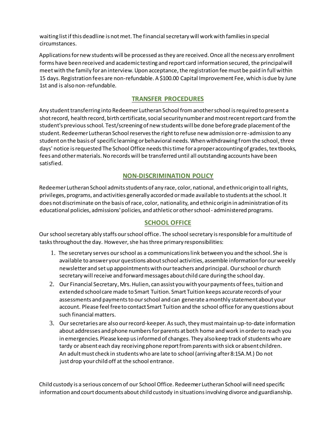waiting list if this deadline is not met. The financial secretary will work with families in special circumstances.

Applications for new students will be processed as they are received. Once all the necessary enrollment forms have been received and academic testing and report card information secured, the principal will meet with the family for an interview. Upon acceptance, the registration fee must be paid in full within 15 days. Registration fees are non-refundable. A \$100.00 Capital Improvement Fee, which is due by June 1st and is also non-refundable.

### **TRANSFER PROCEDURES**

<span id="page-9-0"></span>Any student transferring into Redeemer Lutheran School from another school is required to present a shot record, health record, birth certificate, social security number and most recent report card from the student's previous school. Test/screening of new students will be done before grade placement of the student. Redeemer Lutheran School reserves the right to refuse new admission or re -admission to any student on the basis of specific learning or behavioral needs. When withdrawing from the school, three days' notice is requested The School Office needs this time for a proper accounting of grades, tex tbooks, fees and other materials. No records will be transferred until all outstanding accounts have been satisfied.

### **NON-DISCRIMINATION POLICY**

<span id="page-9-1"></span>Redeemer Lutheran School admits students of any race, color, national, and ethnic origin to all rights, privileges, programs, and activities generally accorded or made available to students at the school. It does not discriminate on the basis of race, color, nationality, and ethnic origin in administration of its educational policies, admissions' policies, and athletic or other school- administered programs.

### **SCHOOL OFFICE**

<span id="page-9-2"></span>Our school secretary ably staffs our school office. The school secretary is responsible for a multitude of tasks throughout the day. However, she has three primary responsibilities:

- 1. The secretary serves our school as a communications link between you and the school. She is available to answer your questions about school activities, assemble information for our weekly newsletter and set up appointments with our teachers and principal. Our school or church secretary will receive and forward messages about child care during the school day.
- 2. Our Financial Secretary, Mrs. Hulien, can assist you with your payments of fees, tuition and extended school care made to Smart Tuition. Smart Tuition keeps accurate records of your assessments and payments to our school and can generate a monthly statement about your account. Please feel free to contact Smart Tuition and the school office for any questions about such financial matters.
- 3. Our secretaries are also our record-keeper. As such, they must maintain up-to-date information about addresses and phone numbers for parents at both home and work in order to reach you in emergencies. Please keep us informed of changes. They also keep track of students who are tardy or absent each day receiving phone report from parents with sick or absent children. An adult must check in students who are late to school (arriving after 8:15A.M.) Do not just drop your child off at the school entrance.

Child custody is a serious concern of our School Office. Redeemer Lutheran School will need specific information and court documents about child custody in situations involving divorce and guardianship.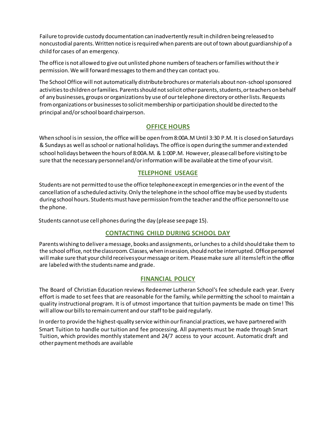Failure to provide custody documentation can inadvertently result in children being released to noncustodial parents. Written notice is required when parents are out of town about guardianship of a child for cases of an emergency.

The office is not allowed to give out unlisted phone numbers of teachers or families without the ir permission. We will forward messages to them and they can contact you.

The School Office will not automatically distribute brochures or materials about non-school sponsored activities to children or families. Parents should not solicit other parents, students, or teachers on behalf of any businesses, groups or organizations by use of our telephone directory or other lists. Requests from organizations or businesses to solicit membership or participation should be directed to the principal and/or school board chairperson.

### **OFFICE HOURS**

<span id="page-10-0"></span>When school is in session, the office will be open from 8:00A.M Until 3:30 P.M. It is closed on Saturdays & Sundays as well as school or national holidays. The office is open during the summer and extended school holidays between the hours of 8:00A.M. & 1:00P.M. However, please call before visiting to be sure that the necessary personnel and/or information will be available at the time of your visit.

### **TELEPHONE USEAGE**

<span id="page-10-1"></span>Students are not permitted to use the office telephone except in emergencies or in the event of the cancellation of a scheduled activity. Only the telephone in the school office may be used by students during school hours. Students must have permission from the teacher and the office personnel to use the phone.

<span id="page-10-2"></span>Students cannot use cell phones during the day (please see page 15).

### **CONTACTING CHILD DURING SCHOOL DAY**

Parents wishing to deliver a message, books and assignments, or lunchesto a child should take them to the school office, not the classroom. Classes, when in session, should not be interrupted.Office personnel will make sure that your child receives your message or item. Please make sure all items left in the office are labeled with the students name and grade.

### **FINANCIAL POLICY**

<span id="page-10-3"></span>The Board of Christian Education reviews Redeemer Lutheran School's fee schedule each year. Every effort is made to set fees that are reasonable for the family, while permitting the school to maintain a quality instructional program. It is of utmost importance that tuition payments be made on time! This will allow our bills to remain current and our staff to be paid regularly.

In order to provide the highest-quality service within our financial practices, we have partnered with Smart Tuition to handle our tuition and fee processing. All payments must be made through Smart Tuition, which provides monthly statement and 24/7 access to your account. Automatic draft and other payment methods are available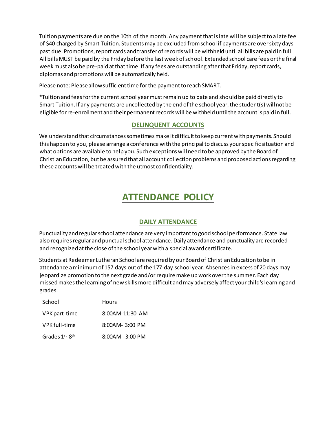Tuition payments are due on the 10th of the month. Any payment that is late will be subject to a late fee of \$40 charged by Smart Tuition. Students may be excluded from school if payments are over sixty days past due. Promotions, report cards and transfer of records will be withheld until all bills are paid in full. All bills MUST be paid by the Friday before the last week of school. Extended school care fees or the final week must also be pre-paid at that time. If any fees are outstanding after that Friday, report cards, diplomas and promotions will be automatically held.

Please note: Please allow sufficient time for the payment to reach SMART.

\*Tuition and fees for the current school year must remain up to date and should be paid directly to Smart Tuition. If any payments are uncollected by the end of the school year, the student(s) will not be eligible for re-enrollment and their permanent records will be withheld until the account is paid in full.

### **DELINQUENT ACCOUNTS**

<span id="page-11-0"></span>We understand that circumstances sometimes make it difficult to keep current with payments. Should this happen to you, please arrange a conference with the principal to discuss your specific situation and what options are available to help you. Such exceptions will need to be approved by the Board of Christian Education, but be assured that all account collection problems and proposed actions regarding these accounts will be treated with the utmost confidentiality.

### **ATTENDANCE POLICY**

### **DAILY ATTENDANCE**

<span id="page-11-2"></span><span id="page-11-1"></span>Punctuality and regular school attendance are very important to good school performance. State law also requires regular and punctual school attendance. Daily attendance and punctuality are recorded and recognized at the close of the school year with a special award certificate.

Students at Redeemer Lutheran School are required by our Board of Christian Education to be in attendance a minimum of 157 days out of the 177-day school year. Absences in excess of 20 days may jeopardize promotion to the next grade and/orrequire make up work over the summer. Each day missed makes the learning of new skills more difficult and may adversely affect your child's learning and grades.

| School         | <b>Hours</b>    |
|----------------|-----------------|
| VPK part-time  | 8:00AM-11:30 AM |
| VPK full-time  | 8:00AM-3:00 PM  |
| Grades 1st-8th | 8:00AM -3:00 PM |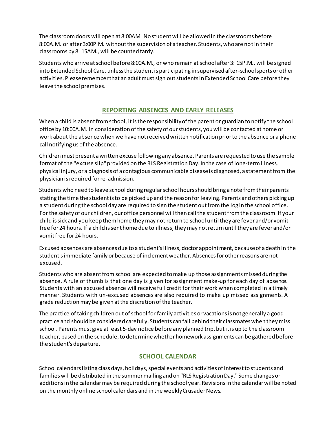The classroom doors will open at 8:00AM. No student will be allowed in the classrooms before 8:00A.M. or after 3:00P.M. without the supervision of a teacher. Students, who are not in their classrooms by 8: 15AM., will be counted tardy.

Students who arrive at school before 8:00A.M., or who remain at school after 3: 15P.M., will be signed into Extended School Care. unless the student is participating in supervised after-school sports or other activities. Please remember that an adult mustsign out students in Extended School Care before they leave the school premises.

### **REPORTING ABSENCES AND EARLY RELEASES**

<span id="page-12-0"></span>When a child is absent from school, it is the responsibility of the parent or guardian to notify the school office by 10:00A.M. In consideration of the safety of our students, you will be contacted at home or work about the absence when we have not received written notification prior to the absence or a phone call notifying us of the absence.

Children must present a written excuse following any absence. Parents are requested to use the sample format of the "excuse slip" provided on the RLS Registration Day. In the case of long-termillness, physical injury, or a diagnosis of a contagious communicable disease is diagnosed, a statement from the physician is required for re-admission.

Students who need to leave school during regular school hours should bring a note from their parents stating the time the student is to be picked up and the reason for leaving. Parents and others picking up a student during the school day are required to sign the student out from the log in the school office. For the safety of our children, our office personnel will then call the student from the classroom. If your child is sick and you keep them home they may not return to school until they are fever and/or vomit free for 24 hours. If a child is sent home due to illness,they may not return until they are fever and/or vomit free for 24 hours.

Excused absences are absences due to a student's illness, doctor appointment, because of a death in the student's immediate family or because of inclement weather. Absences for other reasons are not excused.

Students who are absent from school are expected to make up those assignments missed during the absence. A rule of thumb is that one day is given for assignment make-up for each day of absence. Students with an excused absence will receive full credit for their work when completed in a timely manner. Students with un-excused absences are also required to make up missed assignments. A grade reduction may be given at the discretion of the teacher.

The practice of taking children out of school for family activities or vacations is not generally a good practice and should be considered carefully. Students can fall behind their classmates when they miss school. Parents must give at least 5-day notice before any planned trip, but it is up to the classroom teacher, based on the schedule, to determine whether homework assignments can be gathered before the student's departure.

### **SCHOOL CALENDAR**

<span id="page-12-1"></span>School calendars listing class days, holidays, special events and activities of interest to students and families will be distributed in the summer mailing and on "RLS Registration Day." Some changes or additions in the calendar may be required during the school year. Revisions in the calendar will be noted on the monthly online school calendars and in the weekly Crusader News.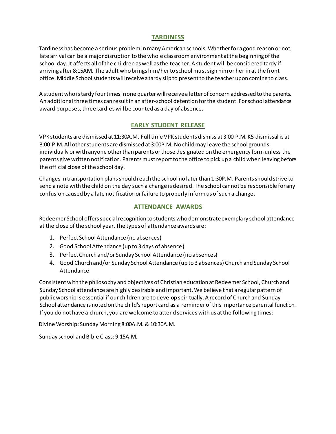### **TARDINESS**

<span id="page-13-0"></span>Tardiness has become a serious problem in many American schools. Whether for a good reason or not, late arrival can be a major disruption to the whole classroom environment at the beginning of the school day. It affects all of the children as well as the teacher. A student will be considered tardy if arriving after 8:15AM. The adult who brings him/her to school must sign him or her in at the front office. Middle School students will receive a tardy slip to present to the teacher upon coming to class.

A student who is tardy four times in one quarter will receive a letter of concern addressed to the parents. An additional three times can result in an after-school detention for the student. For school attendance award purposes, three tardies will be counted as a day of absence.

### **EARLY STUDENT RELEASE**

<span id="page-13-1"></span>VPK students are dismissed at 11:30A.M. Full time VPK students dismiss at 3:00 P.M. K5 dismissal is at 3:00 P.M. All other students are dismissed at 3:00P.M. No child may leave the school grounds individually or with anyone other than parents or those designated on the emergency form unless the parents give written notification. Parents mustreport to the office to pick up a child when leaving before the official close of the school day.

Changes in transportation plans should reach the school no later than 1:30P.M. Parents should strive to send a note with the child on the day such a change is desired. The school cannot be responsible for any confusion caused by a late notification or failure to properly inform us of such a change.

### **ATTENDANCE AWARDS**

<span id="page-13-2"></span>Redeemer School offers special recognition to students who demonstrate exemplary school attendance at the close of the school year. The types of attendance awards are:

- 1. Perfect School Attendance (no absences)
- 2. Good School Attendance (up to 3 days of absence)
- 3. Perfect Church and/or Sunday School Attendance (no absences)
- 4. Good Church and/or Sunday School Attendance (up to 3 absences) Church and Sunday School Attendance

Consistent with the philosophy and objectives of Christian education at Redeemer School, Church and Sunday School attendance are highly desirable and important. We believe that a regular pattern of public worship is essential if our children are to develop spiritually. A record of Church and Sunday School attendance is noted on the child's report card as a reminder of this importance parental function. If you do not have a church, you are welcome to attend services with us at the following times:

Divine Worship: Sunday Morning 8:00A.M. & 10:30A.M.

Sunday school and Bible Class: 9:15A.M.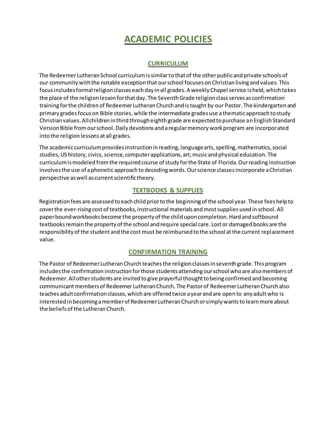### **ACADEMIC POLICIES**

### **CURRICULUM**

<span id="page-14-1"></span><span id="page-14-0"></span>The Redeemer Lutheran School curriculum is similar to that of the other public and private schools of our community with the notable exception that our school focuses on Christian living and values. This focus includes formal religion classes each day in all grades. A weekly Chapel service is held, which takes the place of the religion lesson for that day. The Seventh Grade religion class serves as confirmation training for the children of Redeemer Lutheran Church and is taught by our Pastor. The kindergarten and primary grades focus on Bible stories, while the intermediate grades use a thematic approach to study Christian values. All children in third through eighth grade are expected to purchase an English Standard Version Bible from our school. Daily devotions and a regular memory work program are incorporated into the religion lessons at all grades.

The academic curriculum provides instruction in reading, language arts, spelling, mathematics, social studies, US history, civics, science, computer applications, art, music and physical education. The curriculum is modeled from the required course of study for the State of Florida. Our reading instruction involves the use of a phonetic approach to decoding words. Our science classes incorporate a Christian perspective as well as current scientific theory.

### **TEXTBOOKS & SUPPLIES**

<span id="page-14-2"></span>Registration fees are assessed to each child prior to the beginning of the school year. These fees help to cover the ever-rising cost of textbooks, instructional materials and most supplies used in school. All paper bound workbooks become the property of the child upon completion. Hard and softbound textbooks remain the property of the school and require special care. Lost or damaged books are the responsibility of the student and the cost must be reimbursed to the school at the current replacement value.

### **CONFIRMATION TRAINING**

<span id="page-14-3"></span>The Pastor of Redeemer Lutheran Church teaches the religion classes in seventh grade. This program includes the confirmation instruction for those students attending our school who are also members of Redeemer. All other students are invited to give prayerful thought to being confirmed and becoming communicant members of Redeemer Lutheran Church. The Pastor of Redeemer Lutheran Church also teaches adult confirmation classes, which are offered twice a year and are open to any adult who is interested in becoming a member of Redeemer Lutheran Church or simply wants to learn more about the beliefs of the Lutheran Church.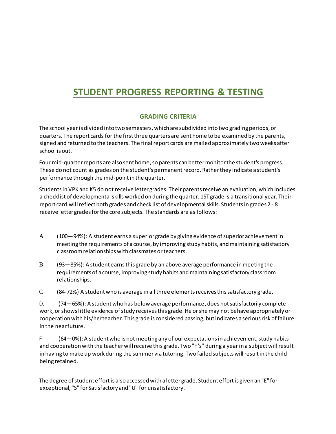### <span id="page-15-0"></span>**STUDENT PROGRESS REPORTING & TESTING**

### **GRADING CRITERIA**

<span id="page-15-1"></span>The school year is divided into two semesters, which are subdivided into two grading periods, or quarters. The report cards for the first three quarters are sent home to be examined by the parents, signed and returned to the teachers. The final report cards are mailed approximately two weeks after school is out.

Four mid-quarter reports are also sent home, so parents can better monitor the student's progress. These do not count as grades on the student's permanent record. Rather they indicate a student's performance through the mid-point in the quarter.

Students in VPK and K5 do not receive letter grades. Their parents receive an evaluation, which includes a checklist of developmental skills worked on during the quarter. 1ST grade is a transitional year. Their report card will reflect both grades and check list of developmental skills. Students in grades 2 - 8 receive letter grades for the core subjects. The standards are as follows:

- A (100—94%): A student earns a superior grade by giving evidence of superior achievement in meeting the requirements of a course, by improving study habits, and maintaining satisfactory classroom relationships with classmates or teachers.
- B (93—85%): A student earns this grade by an above average performance in meeting the requirements of a course, improving study habits and maintaining satisfactory classroom relationships.

C (84-72%) A student who is average in all three elements receives this satisfactory grade.

D. (74—65%): A student who has below average performance, does not satisfactorily complete work, or shows little evidence of study receives this grade. He or she may not behave appropriately or cooperation with his/her teacher. This grade is considered passing, but indicates a serious risk of failure in the near future.

F (64—0%): A student who is not meeting any of our expectations in achievement, study habits and cooperation with the teacher will receive this grade. Two "F 's" during a year in a subject will result in having to make up work during the summer via tutoring. Two failed subjects will result in the child being retained.

The degree of student effort is also accessed with a letter grade. Student effort is given an "E" for exceptional, "S" for Satisfactory and "U" for unsatisfactory.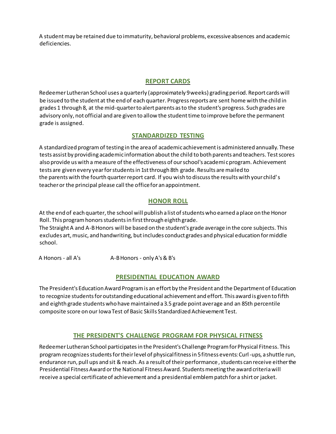<span id="page-16-0"></span>A student may be retained due to immaturity, behavioral problems, excessive absences and academic deficiencies.

### **REPORT CARDS**

Redeemer Lutheran School uses a quarterly (approximately 9 weeks) grading period. Report cards will be issued to the student at the end of each quarter. Progress reports are sent home with the child in grades 1 through 8, at the mid-quarter to alert parents as to the student's progress. Such grades are advisory only, not official and are given to allow the student time to improve before the permanent grade is assigned.

### **STANDARDIZED TESTING**

<span id="page-16-1"></span>A standardized program of testing in the area of academic achievement is administered annually. These tests assist by providing academic information about the child to both parents and teachers. Test scores also provide us with a measure of the effectiveness of our school's academi c program. Achievement tests are given every year for students in 1st through 8th grade. Results are mailed to the parents with the fourth quarter report card. If you wish to discuss the results with your child' s teacher or the principal please call the office for an appointment.

### **HONOR ROLL**

<span id="page-16-2"></span>At the end of each quarter, the school will publish a list of students who earned a place on the Honor Roll. This program honors students in first through eighth grade.

The Straight A and A-B Honors will be based on the student's grade average in the core subjects. This excludes art, music, and handwriting, but includes conduct grades and physical education for middle school.

A Honors - all A's A-B Honors - only A's & B's

### **PRESIDENTIAL EDUCATION AWARD**

<span id="page-16-3"></span>The President's Education Award Program is an effort by the President and the Department of Education to recognize students for outstanding educational achievement and effort. This award is given to fifth and eighth grade students who have maintained a 3.5 grade point average and an 85th percentile composite score on our Iowa Test of Basic Skills Standardized Achievement Test.

### **THE PRESIDENT'S CHALLENGE PROGRAM FOR PHYSICAL FITNESS**

<span id="page-16-4"></span>Redeemer Lutheran School participates in the President's Challenge Program for Physical Fitness. This program recognizes students for their level of physical fitness in 5 fitness events: Curl-ups, a shuttle run, endurance run, pull ups and sit & reach. As a result of their performance, students can receive either the Presidential Fitness Award or the National Fitness Award. Students meeting the award criteria will receive a special certificate of achievement and a presidential emblem patch for a shirt or jacket.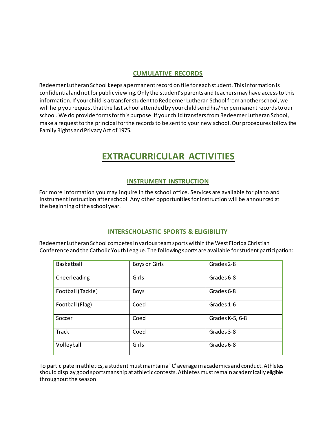#### **CUMULATIVE RECORDS**

<span id="page-17-0"></span>Redeemer Lutheran School keeps a permanent record on file for each student. This information is confidential and not for public viewing. Only the student's parents and teachers may have access to this information. If your child is a transfer student to Redeemer Lutheran School from another school, we will help you request that the last school attended by your child send his/her permanent records to our school. We do provide forms for this purpose. If your child transfers from Redeemer Lutheran School, make a request to the principal for the records to be sent to your new school. Our procedures follow the Family Rights and Privacy Act of 1975.

### **EXTRACURRICULAR ACTIVITIES**

### **INSTRUMENT INSTRUCTION**

<span id="page-17-2"></span><span id="page-17-1"></span>For more information you may inquire in the school office. Services are available for piano and instrument instruction after school. Any other opportunities for instruction will be announced at the beginning of the school year.

### **INTERSCHOLASTIC SPORTS & ELIGIBILITY**

<span id="page-17-3"></span>Redeemer Lutheran School competes in various team sports within the West Florida Christian Conference and the Catholic Youth League. The following sports are available for student participation:

| Basketball        | Boys or Girls | Grades 2-8      |
|-------------------|---------------|-----------------|
| Cheerleading      | Girls         | Grades 6-8      |
| Football (Tackle) | <b>Boys</b>   | Grades 6-8      |
| Football (Flag)   | Coed          | Grades 1-6      |
| Soccer            | Coed          | Grades K-5, 6-8 |
| <b>Track</b>      | Coed          | Grades 3-8      |
| Volleyball        | Girls         | Grades 6-8      |

To participate in athletics, a student must maintain a "C' average in academics and conduct. Athletes should display good sportsmanship at athletic contests. Athletes must remain academically eligible throughout the season.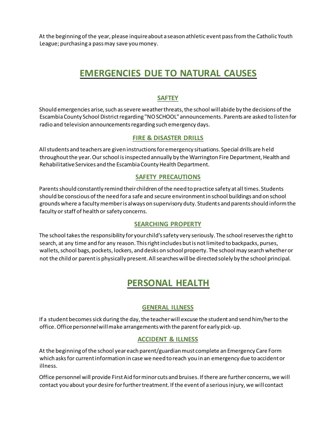<span id="page-18-0"></span>At the beginning of the year, please inquire about a season athletic event pass from the Catholic Youth League; purchasing a pass may save you money.

### **EMERGENCIES DUE TO NATURAL CAUSES**

### **SAFTEY**

<span id="page-18-1"></span>Should emergencies arise, such as severe weather threats, the school will abide by the decisions of the Escambia County School District regarding "NO SCHOOL" announcements. Parents are asked to listen for radio and television announcements regarding such emergency days.

### **FIRE & DISASTER DRILLS**

<span id="page-18-2"></span>All students and teachers are given instructions for emergency situations. Special drills are held throughout the year. Our school is inspected annually by the Warrington Fire Department, Health and Rehabilitative Services and the Escambia County Health Department.

#### **SAFETY PRECAUTIONS**

<span id="page-18-3"></span>Parentsshould constantly remind their children of the need to practice safety at all times. Students should be conscious of the need for a safe and secure environment in school buildings and on school grounds where a faculty member is always on supervisory duty. Students and parents should inform the faculty or staff of health or safety concerns.

### **SEARCHING PROPERTY**

<span id="page-18-4"></span>The school takes the responsibility for your child's safety very seriously. The school reserves the right to search, at any time and for any reason. This right includes but is not limited to backpacks, purses, wallets, school bags, pockets, lockers, and desks on school property. The school may search whether or not the child or parent is physically present. All searches will be directed solely by the school principal.

### **PERSONAL HEALTH**

### **GENERAL ILLNESS**

<span id="page-18-6"></span><span id="page-18-5"></span>If a student becomes sick during the day, the teacher will excuse the student and send him/her to the office. Office personnel will make arrangements with the parent for early pick-up.

### **ACCIDENT & ILLNESS**

<span id="page-18-7"></span>At the beginning ofthe school year each parent/guardian must complete an Emergency Care Form which asks for current information in case we need to reach you in an emergency due to accident or illness.

Office personnel will provide First Aid for minor cuts and bruises. If there are further concerns, we will contact you about your desire for further treatment. If the event of a serious injury, we will contact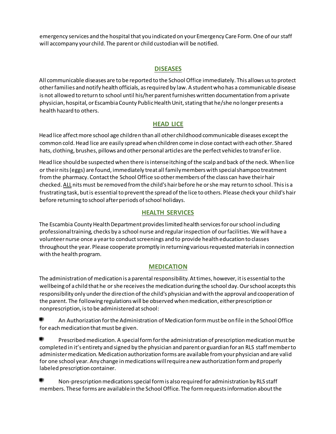<span id="page-19-0"></span>emergency services and the hospital that you indicated on your Emergency Care Form. One of our staff will accompany your child. The parent or child custodian will be notified.

### **DISEASES**

All communicable diseases are to be reported to the School Office immediately. This allows us to protect other families and notify health officials, as required by law. A student who has a communicable disease is not allowed to return to school until his/her parent furnishes written documentation from a private physician, hospital, or Escambia County Public Health Unit, stating that he/she no longer presents a health hazard to others.

### **HEAD LICE**

<span id="page-19-1"></span>Head lice affect more school age children than all other childhood communicable diseases except the common cold. Head lice are easily spread when children come in close contact with each other. Shared hats, clothing, brushes, pillows and other personal articles are the perfect vehicles to transf er lice.

Head lice should be suspected when there is intense itching of the scalp and back of the neck. When lice or their nits (eggs) are found, immediately treat all family members with special shampoo treatment from the pharmacy. Contact the School Office so other members of the class can have their hair checked. ALLnits must be removed from the child's hair before he or she may return to school. This is a frustrating task, but is essential to prevent the spread of the lice to others. Please check your child's hair before returning to school after periods of school holidays.

### **HEALTH SERVICES**

<span id="page-19-2"></span>The Escambia County Health Department provides limited health services for our school including professional training, checks by a school nurse and regular inspection of our facilities. We will have a volunteer nurse once a year to conduct screenings and to provide health education to classes throughout the year. Please cooperate promptly in returning various requested materials in connection with the health program.

### **MEDICATION**

<span id="page-19-3"></span>The administration of medication is a parental responsibility. At times, however, it is essential to the wellbeing of a child that he or she receives the medication during the school day. Our school accepts this responsibility only under the direction of the child's physician and with the approval and cooperation of the parent. The following regulations will be observed when medication, either prescription or nonprescription, is to be administered at school:

An Authorization for the Administration of Medication form must be on file in the School Office for each medication that must be given.

. Prescribed medication. A special form for the administration of prescription medication must be completed in it's entirety and signed by the physician and parent or guardian for an RLS staff member to administer medication. Medication authorization forms are available from your physician and are valid for one school year. Any change in medications will require a new authorization form and properly labeled prescription container.

Non-prescription medications special form is also required for administration by RLS staff members. These forms are available in the School Office. The form requests information about the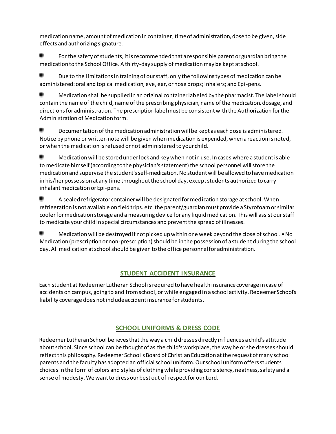medication name, amount of medication in container, time of administration, dose to be given, side effects and authorizing signature.

For the safety of students, it is recommended that a responsible parent or guardian bring the medication to the School Office. A thirty-day supply of medication may be kept at school.

Due to the limitations in training of our staff, only the following types of medication can be administered: oral and topical medication; eye, ear, or nose drops; inhalers; and Epi-pens.

. Medication shall be supplied in an original container labeled by the pharmacist. The label should contain the name of the child, name of the prescribing physician, name of the medication, dosage, and directions for administration. The prescription label must be consistent with the Authorization for the Administration of Medication form.

. Documentation of the medication administration will be kept as each dose is administered. Notice by phone or written note will be given when medication is expended, when a reaction is noted, or when the medication is refused or not administered to your child.

. Medication will be stored under lock and key when not in use. In cases where a student is able to medicate himself (according to the physician's statement) the school personnel will store the medication and supervise the student's self-medication. No student will be allowed to have medication in his/her possession at any time throughout the school day, except students authorized to carry inhalant medication or Epi-pens.

٠ A sealed refrigerator container will be designated for medication storage at school. When refrigeration is not available on field trips. etc. the parent/guardian must provide a Styrofoam or similar cooler for medication storage and a measuring device for any liquid medication. This will assist our staff to medicate your child in special circumstances and prevent the spread of illnesses.

٠ Medication will be destroyed if not picked up within one week beyond the close of school. • No Medication (prescription or non-prescription) should be in the possession of a student during the school day. All medication at school should be given to the office personnel for administration.

### **STUDENT ACCIDENT INSURANCE**

<span id="page-20-0"></span>Each student at Redeemer Lutheran School is required to have health insurance coverage in case of accidents on campus, going to and from school, or while engaged in a school activity. Redeemer School's liability coverage does not include accident insurance for students.

### **SCHOOL UNIFORMS & DRESS CODE**

<span id="page-20-1"></span>Redeemer Lutheran School believes that the way a child dresses directly influences a child's attitude about school. Since school can be thought of as the child's workplace, the way he or she dresses should reflect this philosophy. Redeemer School's Board of Christian Education at the request of many school parents and the faculty has adopted an official school uniform. Our school uniform offers students choices in the form of colors and styles of clothing while providing consistency, neatness, safety and a sense of modesty. We want to dress our best out of respect for our Lord.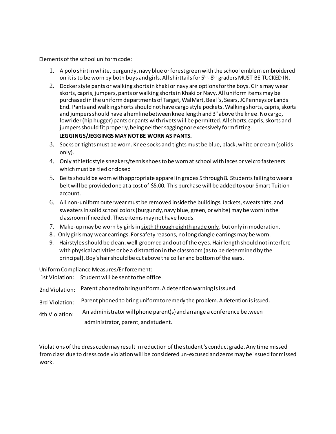Elements of the school uniform code:

- 1. A polo shirt in white, burgundy, navy blue or forest green with the school emblem embroidered on it is to be worn by both boys and girls. All shirttails for 5<sup>th</sup>-8<sup>th</sup> graders MUST BE TUCKED IN.
- 2. Docker style pants or walking shorts in khaki or navy are options for the boys. Girls may wear skorts, capris, jumpers, pants or walking shorts in Khaki or Navy. All uniform items may be purchased in the uniform departments of Target, WalMart, Beal's, Sears, JCPenneys or Lands End. Pants and walking shorts should not have cargo style pockets. Walking shorts, capris, skorts and jumpers should have a hemline between knee length and 3" above the knee. No cargo, lowrider (hip hugger) pants or pants with rivets will be permitted. All shorts, capris, skorts and jumpers should fit properly, being neither sagging nor excessively form fitting. **LEGGINGS/JEGGINGS MAY NOT BE WORN AS PANTS.**
- 3. Socks or tights must be worn. Knee socks and tights must be blue, black, white or cream (solids only).
- 4. Only athletic style sneakers/tennis shoes to be worn at school with laces or velcro fasteners which must be tied or closed
- 5. Belts should be worn with appropriate apparel in grades 5 through 8. Students failing to wear a belt will be provided one at a cost of \$5.00. This purchase will be added to your Smart Tuition account.
- 6. All non-uniform outerwear must be removed inside the buildings. Jackets, sweatshirts, and sweaters in solid school colors (burgundy, navy blue, green, or white) may be worn in the classroom if needed. These items may not have hoods.
- 7. Make-up may be worn by girls in sixth through eighth grade only, but only in moderation.
- 8.. Only girls may wear earrings. For safety reasons, no long dangle earrings may be worn.
- 9. Hairstyles should be clean, well-groomed and out of the eyes. Hair length should not interfere with physical activities or be a distraction in the classroom (as to be determined by the principal). Boy's hair should be cut above the collar and bottom of the ears.

Uniform Compliance Measures/Enforcement:

1st Violation: Student will be sent to the office.

- 2nd Violation: Parent phoned to bring uniform. A detention warning is issued.
- 3rd Violation: Parent phoned to bring uniform to remedy the problem. A detention is issued.
- 4th Violation: An administrator will phone parent(s) and arrange a conference between administrator, parent, and student.

<span id="page-21-0"></span>Violations of the dress code may result in reduction of the student 's conduct grade. Any time missed from class due to dress code violation will be considered un-excused and zeros may be issued for missed work.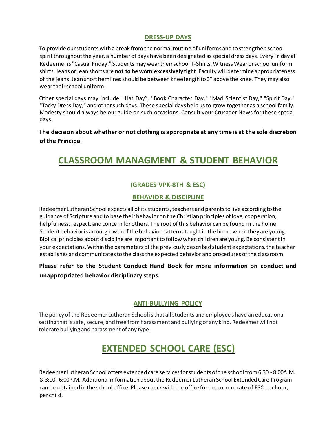### **DRESS-UP DAYS**

To provide our students with a break from the normal routine of uniforms and to strengthen school spirit throughout the year, a number of days have been designated as special dress days. Every Friday at Redeemer is "Casual Friday." Students may wear their school T-Shirts, Witness Wear or school uniform shirts. Jeans or jean shorts are **not to be worn excessively tight**. Faculty will determine appropriateness of the jeans. Jean short hemlines should be between knee length to 3" above the knee. They may also wear their school uniform.

Other special days may include: "Hat Day", "Book Character Day," "Mad Scientist Day," "Spirit Day," "Tacky Dress Day," and other such days. These special days help us to grow together as a school family. Modesty should always be our guide on such occasions. Consult your Crusader News for these special days.

**The decision about whether or not clothing is appropriate at any time is at the sole discretion of the Principal**

### <span id="page-22-0"></span>**CLASSROOM MANAGMENT & STUDENT BEHAVIOR**

### **(GRADES VPK-8TH & ESC)**

### **BEHAVIOR & DISCIPLINE**

<span id="page-22-2"></span><span id="page-22-1"></span>Redeemer Lutheran School expects all of its students, teachers and parents to live according to the guidance of Scripture and to base their behavior on the Christian principles of love, cooperation, helpfulness, respect, and concern for others. The root of this behavior can be found in the home. Student behavior is an outgrowth of the behavior patterns taught in the home when they are young. Biblical principles about discipline are important to follow when children are young. Be consistent in your expectations. Within the parameters of the previously described student expectations, the teacher establishes and communicates to the class the expected behavior and procedures of the classroom.

### **Please refer to the Student Conduct Hand Book for more information on conduct and unappropriated behavior disciplinary steps.**

### <span id="page-22-3"></span>**ANTI-BULLYING POLICY**

The policy of the Redeemer Lutheran School is that all students and employees have an educational setting that is safe, secure, and free from harassment and bullying of any kind. Redeemer will not tolerate bullying and harassment of any type.

### **EXTENDED SCHOOL CARE (ESC)**

<span id="page-22-4"></span>Redeemer Lutheran School offers extended care services for students of the school from 6:30 - 8:00A.M. & 3:00- 6:00P.M. Additional information about the Redeemer Lutheran School Extended Care Program can be obtained in the school office. Please check with the office for the current rate of ESC per hour, per child.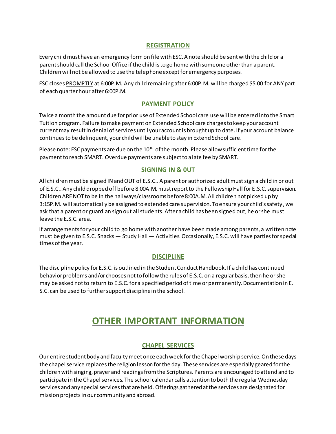### **REGISTRATION**

<span id="page-23-0"></span>Every child must have an emergency form on file with ESC. A note should be sent with the child or a parent should call the School Office if the child is to go home with someone other than a parent. Children will not be allowed to use the telephone except for emergency purposes.

ESC closes PROMPTLY at 6:00P.M. Any child remaining after 6:00P.M. will be charged \$5.00 for ANY part of each quarter hour after 6:00P.M.

### **PAYMENT POLICY**

<span id="page-23-1"></span>Twice a month the amount due for prior use of Extended School care use will be entered into the Smart Tuition program. Failure to make payment on Extended School care charges to keep your account current may result in denial of services until your account is brought up to date. If your account balance continues to be delinquent, your child will be unable to stay in Extend School care.

Please note: ESC payments are due on the  $10<sup>TH</sup>$  of the month. Please allow sufficient time for the payment to reach SMART. Overdue payments are subject to a late fee by SMART.

### **SIGNING IN & 0UT**

<span id="page-23-2"></span>All children must be signed IN and OUT of E.S.C.. A parent or authorized adult mustsign a child in or out of E.S.C.. Any child dropped off before 8:00A.M. must report to the Fellowship Hall for E.S.C. supervision. Children ARE NOT to be in the hallways/classrooms before 8:00A.M. All children not picked up by 3:15P.M. will automatically be assigned to extended care supervision. To ensure your child's safety , we ask that a parent or guardian sign out all students. After a child has been signed out, he or she must leave the E.S.C. area.

If arrangements for your child to go home with another have been made among parents, a written note must be given to E.S.C. Snacks — Study Hall — Activities. Occasionally, E.S.C. will have parties for special times of the year.

### <span id="page-23-3"></span>**DISCIPLINE**

The discipline policy for E.S.C. is outlined in the Student Conduct Handbook. If a child has continued behavior problems and/or chooses not to follow the rules of E.S.C. on a regular basis, then he or she may be asked not to return to E.S.C. for a specified period of time or permanently. Documentation in E. S.C. can be used to further support discipline in the school.

### **OTHER IMPORTANT INFORMATION**

### **CHAPEL SERVICES**

<span id="page-23-5"></span><span id="page-23-4"></span>Our entire student body and faculty meet once each week for the Chapel worship servi ce.On these days the chapel service replaces the religion lesson for the day. These services are especially geared for the children with singing, prayer and readings from the Scriptures. Parents are encouraged to attend and to participate in the Chapel services. The school calendar calls attention to both the regular Wednesday services and any special services that are held. Offerings gathered at the services are designated for mission projects in our community and abroad.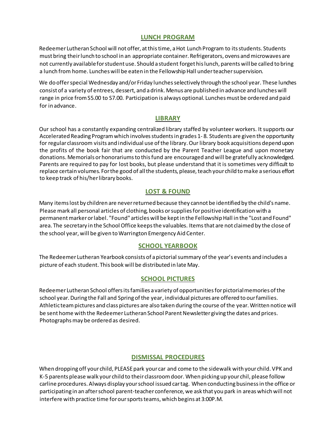#### **LUNCH PROGRAM**

<span id="page-24-0"></span>Redeemer Lutheran School will not offer, at this time, a Hot Lunch Program to its students. Students must bring their lunch to school in an appropriate container. Refrigerators, ovens and microwaves are not currently available for student use. Should a student forget his lunch, parents will be called to bring a lunch from home. Lunches will be eaten in the Fellowship Hall under teacher supervision.

We do offer special Wednesday and/or Friday lunches selectively through the school year. These lunches consist of a variety of entrees, dessert, and a drink. Menus are published in advance and lunches will range in price from S5.00 to S7.00. Participation is always optional. Lunches must be ordered and paid for in advance.

### **LIBRARY**

<span id="page-24-1"></span>Our school has a constantly expanding centralized library staffed by volunteer workers. It supports our Accelerated Reading Program which involves students in grades 1- 8. Students are given the opportunity for regular classroom visits and individual use of the library. Our library book acquisitions depend upon the profits of the book fair that are conducted by the Parent Teacher League and upon monetary donations. Memorials or honorariums to this fund are encouraged and will be gratefully acknowledged. Parents are required to pay for lost books, but please understand that it is sometimes very difficult to replace certain volumes. For the good of all the students, please, teach your child to make a serious effort to keep track of his/her library books.

### **LOST & FOUND**

<span id="page-24-2"></span>Many items lost by children are never returned because they cannot be identified by the child's name. Please mark all personal articles of clothing, books or supplies for positive identification with a permanent marker or label. "Found" articles will be kept in the Fellowship Hall in the "Lost and Found" area. The secretary in the School Office keeps the valuables. Items that are not claimed by the close of the school year, will be given to Warrington Emergency Aid Center.

### **SCHOOL YEARBOOK**

<span id="page-24-3"></span>The Redeemer Lutheran Yearbook consists of a pictorial summary of the year's events and includes a picture of each student. This book will be distributed in late May.

### **SCHOOL PICTURES**

<span id="page-24-4"></span>Redeemer Lutheran School offers its families a variety of opportunities for pictorial memories of the school year. During the Fall and Spring of the year, individual pictures are offered to our families. Athletic team pictures and class pictures are also taken during the course of the year. Written notice will be sent home with the Redeemer Lutheran School Parent Newsletter giving the dates and prices. Photographs may be ordered as desired.

### **DISMISSAL PROCEDURES**

<span id="page-24-5"></span>When dropping off your child, PLEASE park your car and come to the sidewalk with your child. VPK and K-5 parents please walk your child to their classroom door. When picking up your chil, please follow carline procedures. Always display your school issued car tag. When conducting business in the office or participating in an after school parent-teacher conference, we ask that you park in areas which will not interfere with practice time for our sports teams, which begins at 3:00P.M.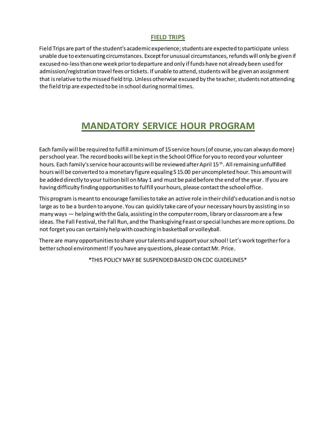### **FIELD TRIPS**

<span id="page-25-0"></span>Field Trips are part of the student's academic experience; students are expected to participate unless unable due to extenuating circumstances. Except for unusual circumstances, refunds will only be given if excused no-less than one week prior to departure and only if funds have not already been used for admission/registration travel fees or tickets. If unable to attend, students will be given an assignment that is relative to the missed field trip. Unless otherwise excused by the teacher, students not attending the field trip are expected to be in school during normal times.

### **MANDATORY SERVICE HOUR PROGRAM**

<span id="page-25-1"></span>Each family will be required to fulfill a minimum of 15service hours (of course, you can always do more) per school year. The record books will be kept in the School Office for you to record your volunteer hours. Each family's service hour accounts will be reviewed after April 15<sup>th</sup>. All remaining unfulfilled hours will be converted to a monetary figure equaling S 15.00 per uncompleted hour. This amount will be added directly to your tuition bill on May 1 and must be paid before the end of the year. If you are having difficulty finding opportunities to fulfill your hours, please contact the school office.

This program is meant to encourage families to take an active role in their child's education and is not so large as to be a burden to anyone. You can quickly take care of your necessary hours by assisting in so many ways - helping with the Gala, assisting in the computer room, library or classroom are a few ideas. The Fall Festival, the Fall Run, and the Thanksgiving Feast or special lunches are more options. Do not forget you can certainly help with coaching in basketball or volleyball.

There are many opportunities to share your talents and support your school! Let's work together for a better school environment! If you have any questions, please contact Mr. Price.

\*THIS POLICY MAY BE SUSPENDED BAISED ON CDC GUIDELINES\*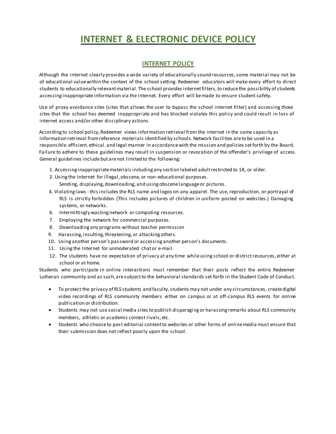### **INTERNET & ELECTRONIC DEVICE POLICY**

### **INTERNET POLICY**

<span id="page-26-1"></span><span id="page-26-0"></span>Although the internet clearly provides a wide variety of educationally sound resources, some material may not be of educational value within the context of the school setting. Redeemer educators will make every effort to direct students to educationally relevant material. The school provides internet filters, to reduce the possibility of students accessing inappropriate information via the internet. Every effort will be made to ensure student safety.

Use of proxy avoidance sites (sites that allows the user to bypass the school internet filter) and accessing those sites that the school has deemed inappropriate and has blocked violates this policy and could result in loss of internet access and/or other disciplinary actions

According to school policy, Redeemer views information retrieval from the internet in the same capacity as information retrieval from reference materials identified by schools. Network facilities are to be used in a responsible. efficient. ethical. and legal manner in accordance with the mission and policies set forth by the Board. Failure to adhere to these guidelines may result in suspension or revocation of the offender's privilege of access. General guidelines include but are not limited to the following:

- 1. Accessing inappropriate materials including any section labeled adult restricted to 18, or older.
- 2. Using the Internet for illegal, obscene, or non-educational purposes.
	- Sending, displaying, downloading, and using obscene language or pictures.
- 4. Violating laws -this includes the RLS name and logos on any apparel. The use, reproduction, or portrayal of RLS is strictly forbidden. (This includes pictures of children in uniform posted on websites.) Damaging systems, or networks.
- 6. Intermittingly wasting network or computing resources.
- 7. Employing the network for commercial purposes.
- 8. Downloading any programs without teacher permission
- 9. Harassing, insulting, threatening, or attacking others.
- 10. Using another person's password or accessing another person's documents.
- 11. Using the Internet for unmoderated chat or e-mail.
- 12. The students have no expectation of privacy at any time while using school or district resources, either at school or at home.

Students who participate in online interactions must remember that their posts reflect the entire Redeemer Lutheran community and as such, are subject to the behavioral standards set forth in the Student Code of Conduct.

- To protect the privacy of RLS students and faculty, students may not under any circumstances, create digital video recordings of RLS community members either on campus or at off-campus RLS events for online publication or distribution.
- Students may not use social media sites to publish disparaging or harassing remarks about RLS community members, athletic or academic contest rivals, etc.
- <span id="page-26-2"></span>• Students who choose to post editorial content to websites or other forms of online media must ensure that their submission does not reflect poorly upon the school.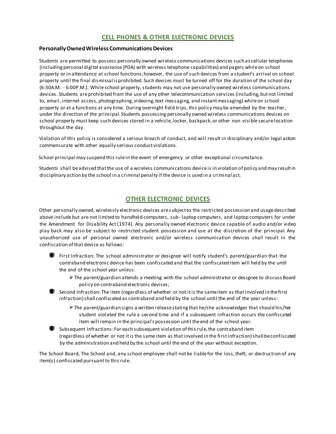#### **CELL PHONES & OTHER ELECTRONIC DEVICES**

#### **Personally Owned Wireless Communications Devices**

Students are permitted to possess personally owned wireless communications devices such as cellular telephones (including personal digital assistance [PDA) with wireless telephone capabilities) and pagers while on school property or in attendance at school functions; however, the use of such devices from a student's arrival on school property until the final dismissal is prohibited. Such devices must be turned off for the duration of the school day (6:30A.M. - 6:00P.M.). While school property, students may not use personally owned wireless communications devices. Students are prohibited from the use of any other telecommunication services (including, but not limited to, email, internet access, photographing, videoing, text messaging, and instant messaging) while on school property or at a functions at any time. During overnight field trips,this policy may be amended by the teacher, under the direction of the principal. Students possessing personally owned wireless communications devices on school property must keep such devices stored in a vehicle, locker, backpack, or other non-visible secure location throughout the day.

Violation of this policy is considered a serious breach of conduct, and will result in disciplinary and/or legal action commensurate with other equally serious conduct violations.

School principal may suspend this rule in the event of emergency or other exceptional circumstance.

Students shall be advised that the use of a wireless communications device is in violation of policy and may result in disciplinary action by the school in a criminal penalty if the device is used in a criminal act.

#### **OTHER ELECTRONIC DEVICES**

<span id="page-27-0"></span>Other personally owned, wirelessly electronic devices are subject to the restricted possession and usage described above include but are not limited to handheld computers, sub- laptop computers, and laptop computers for under the Amendment for Disability Act (1974). Any personally owned electronic device capable of audio and/or video play back may also be subject to restricted student possession and use at the discretion of the principal. Any unauthorized use of personal owned electronic and/or wireless communication devices shall result in the confiscation of that device as follows:

- First Infraction: The school administrator or designee will notify student's parent/guardian that the contraband electronic device has been confiscated and that the confiscated item will held by the until the end of the school year unless:
	- The parent/guardian attends a meeting with the school administrator or designee to discuss Board policy on contraband electronic devices;
- Second Infraction: The item (regardless of whether or not it is the same item as that involved in the first infraction) shall confiscated as contraband and held by the school until the end of the year unless:
	- The parent/guardian signs a written release stating that he/she acknowledges that should his/her student violated the rule a second time and if a subsequent infraction occurs the confiscated item will remain in the principal's possession until the end of the school year.
- Subsequent Infractions: For each subsequent violation of this rule, the contraband item (regardless of whether or not it is the same item as that involved in the first infraction) shall be confiscated by the administration and held by the school until the end of the year without exception.

The School Board, The School and, any school employee shall not be liable for the loss, theft, or destruction of any item(s) confiscated pursuant to this rule.